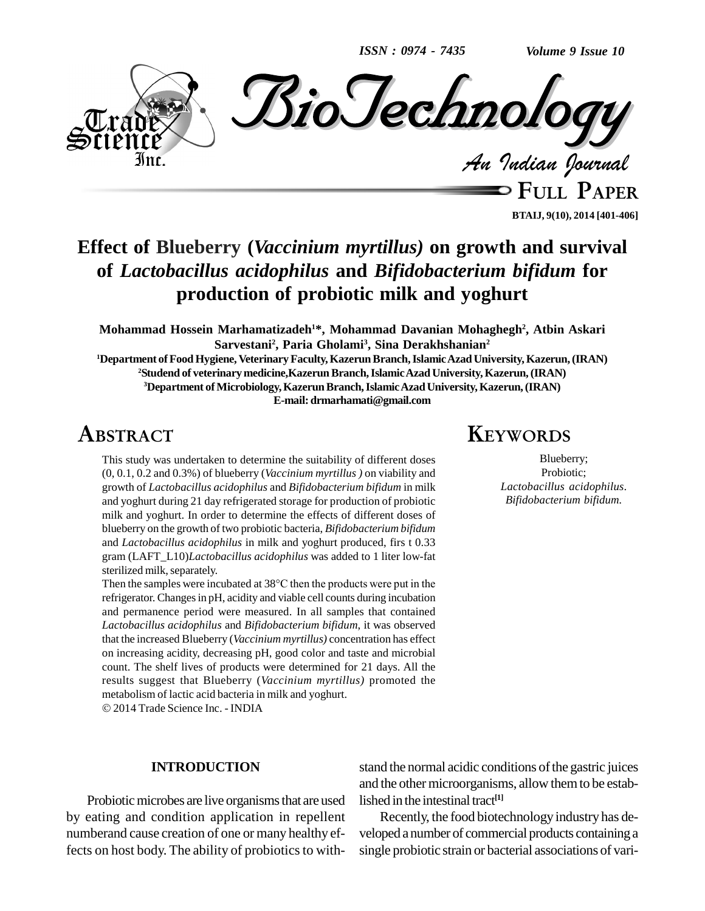*ISSN : 0974 - 7435*

*Volume 9 Issue 10*



**FULL PAPER BTAIJ, 9(10), 2014 [401-406]**

# **Effect of Blueberry (***Vaccinium myrtillus)* **on growth and survival of** *Lactobacillus acidophilus* **and** *Bifidobacterium bifidum* **for production of probiotic milk and yoghurt**

**Mohammad Hossein Marhamatizadeh <sup>1</sup>\*, Mohammad Davanian Mohaghegh 2 , Atbin Askari Sarvestani<sup>2</sup> , Paria Gholami<sup>3</sup> , Sina Derakhshanian 2**

**Department ofFoodHygiene, VeterinaryFaculty,KazerunBranch,IslamicAzadUniversity,Kazerun,(IRAN) Studend of veterinarymedicine,KazerunBranch,IslamicAzadUniversity, Kazerun,(IRAN) Department ofMicrobiology,KazerunBranch,IslamicAzadUniversity,Kazerun,(IRAN) E-mail: [drmarhamati@gmail.com](mailto:drmarhamati@gmail.com)**

# **ABSTRACT**

This study was undertaken to determine the suitability of different doses (0, 0.1, 0.2 and 0.3%) of blueberry (*Vaccinium myrtillus )* on viability and growth of *Lactobacillus acidophilus* and *Bifidobacterium bifidum* in milk and yoghurt during 21 day refrigerated storage for production of probiotic milk and yoghurt. In order to determine the effects of different doses of blueberry on the growth of two probiotic bacteria, *Bifidobacterium bifidum* and *Lactobacillus acidophilus* in milk and yoghurt produced, firs t 0.33 gram (LAFT\_L10)*Lactobacillus acidophilus* was added to 1 liter low-fat Then the samples were incubated at <sup>38</sup>°C then the products were put in the sterilized milk, separately.

refrigerator. Changes in pH, acidity and viable cell counts during incubation and permanence period were measured. In all samples that contained *Lactobacillus acidophilus* and *Bifidobacterium bifidum*, it was observed that the increased Blueberry (*Vaccinium myrtillus)* concentration has effect on increasing acidity, decreasing pH, good color and taste and microbial count. The shelf lives of products were determined for 21 days. All the results suggest that Blueberry (*Vaccinium myrtillus)* promoted the metabolism of lactic acid bacteria in milk and yoghurt. 2014 Trade Science Inc. - INDIA

#### **INTRODUCTION**

Probiotic microbes are live organisms that are used by eating and condition application in repellent numberand cause creation of one or many healthy effects on host body. The ability of probiotics to with-

## **KEYWORDS**

Blueberry; Probiotic; *Lactobacillus acidophilus*. *Bifidobacterium bifidum.*

stand the normal acidic conditions of the gastric juices and the other microorganisms, allow them to be established in the intestinal tract **[1]**

Recently, the food biotechnology industry has de veloped a number of commercial products containing a single probiotic strain or bacterial associations of vari-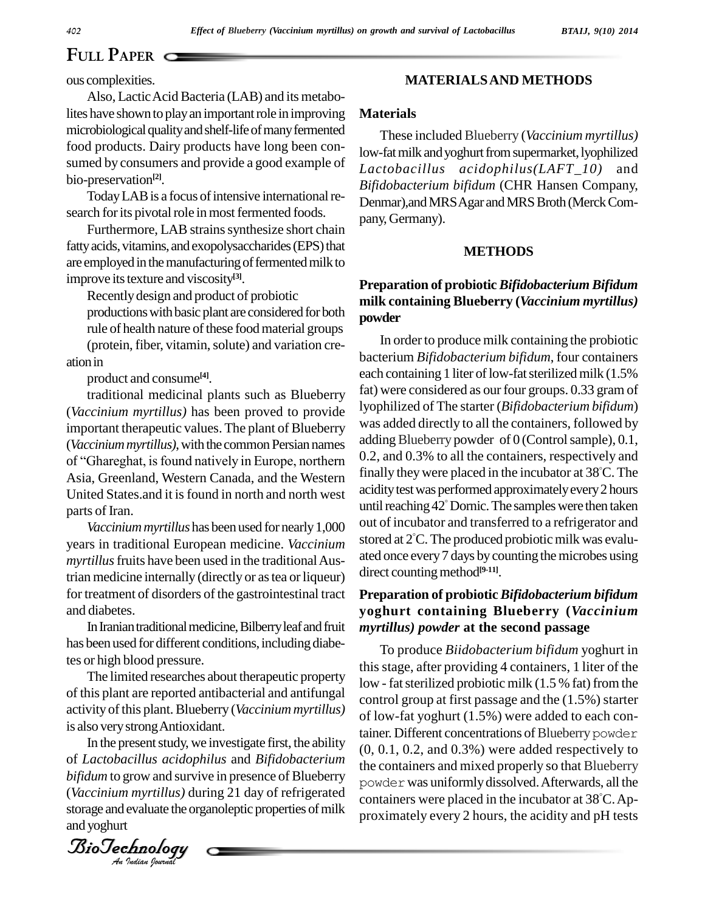lites have shown to play an important role in improving microbiological quality and shelf-life of many fermented food products. Dairy products have long been con sumed by consumers and provide a good example of bio-preservation **[2]**.

Today LAB is a focus of intensive international research for its pivotal role in most fermented foods.

Furthermore, LAB strains synthesize short chain fatty acids, vitamins, and exopolysaccharides (EPS) that are employed in the manufacturing of fermented milk to improve its texture and viscosity<sup>[3]</sup>.

Recentlydesign and product of probiotic

productions with basic plant are considered for both rule of health nature of these food material groups (protein, fiber, vitamin, solute) and variation creation in

product and consume **[4]**.

ous complexities.<br>
Also, Lactic Acid Bacteria (LAB) and its metabo-<br>
Ites have shown to play an important role in improving<br>
microbiological quality and shelf-life of many fermented<br>
from the same of products. Dairy produ traditional medicinal plants such as Blueberry (*Vaccinium myrtillus)* has been proved to provide important therapeutic values. The plant of Blueberry was ad<br>(*Vaccinium myrtillus*), with the common Persian names adding<br>of "Ghareghat, is found natively in Europe, northern 0.2, an (*Vaccinium myrtillus*), with the common Persian names Asia, Greenland, Western Canada, and the Western United States.and it isfound in north and north west parts of Iran.

*Vaccinium myrtillus* has been used for nearly 1,000 years in traditional European medicine. *Vaccinium myrtillus* fruits have been used in the traditional Austrian medicine internally (directly or as tea or liqueur) for treatment of disorders of the gastrointestinal tract and diabetes.

In Iranian traditional medicine, Bilberry leaf and fruit has been used for different conditions, including diabetes or high blood pressure.

activity of this plant. Blueberry (*Val*<br>is also very strong Antioxidant. The limited researches about therapeutic property of this plant are reported antibacterial and antifungal activity of this plant. Blueberry (*Vaccinium myrtillus*)

*An*of *Lactobacillus acidophilus* and *Bifidobacterium* In the present study, we investigate first, the ability *bifidum* to grow and survive in presence of Blueberry (*Vaccinium myrtillus)* during 21 day of refrigerated storage and evaluate the organoleptic properties of milk and yoghurt

*Indian Journal*

### **MATERIALSAND METHODS**

### **Materials**

These included Blueberry (*Vaccinium myrtillus)* low-fat milk and yoghurt from supermarket, lyophilized *Lactobacillus acidophilus(LAFT\_10)* and *Bifidobacterium bifidum* (CHR Hansen Company, Denmar), and MRS Agar and MRS Broth (Merck Company, Germany).

#### **METHODS**

### **Preparation of probiotic***Bifidobacterium Bifidum* **milk containing Blueberry (***Vaccinium myrtillus)* **powder**

In order to produce milk containing the probiotic bacterium *Bifidobacterium bifidum*, four containers each containing 1 liter of low-fat sterilized milk (1.5%) fat) were considered as our four groups. 0.33 gram of lyophilized of The starter (*Bifidobacterium bifidum*) was added directly to all the containers, followed by adding Blueberry powder of  $0$  (Control sample),  $0.1$ , 0.2, and 0.3% to all the containers, respectively and finally theywere placed in the incubator at 38 C. The acidity test was performed approximately every 2 hours until reaching  $42^{\circ}$  Dornic. The samples were then taken out of incubator and transferred to a refrigerator and stored at 2 C. The produced probioticmilk was evalu ated once every7 days bycounting themicrobes using direct counting method<sup>[9-11]</sup>.

### **Preparation of probiotic***Bifidobacterium bifidum* **yoghurt containing Blueberry (***Vaccinium myrtillus) powder* **at the second passage**

To produce *Biidobacterium bifidum* yoghurt in thisstage, after providing 4 containers, 1 liter of the low - fatsterilized probiotic milk (1.5 % fat) from the control group at first passage and the (1.5%) starter of low-fat yoghurt (1.5%) were added to each container. Different concentrations of Blueberry powder (0, 0.1, 0.2, and 0.3%) were added respectively to the containers and mixed properly so that Blueberry powder was uniformly dissolved. Afterwards, all the containers were placed in the incubator at 38 C.Ap proximately every 2 hours, the acidity and pH tests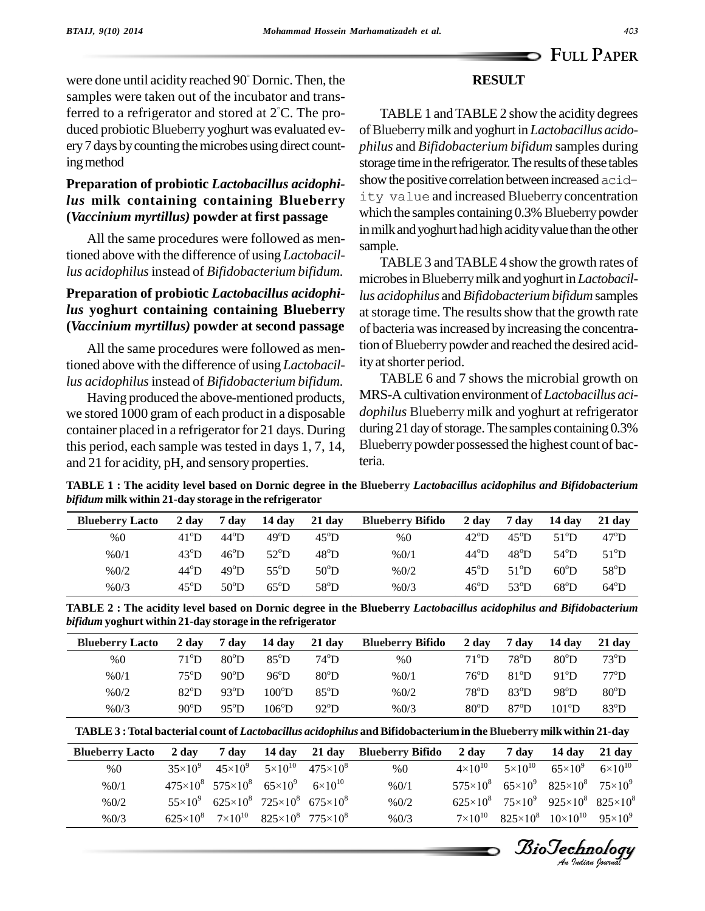### **RESULT**

were done until acidity reached 90 Dornic. Then, the samples were taken out of the incubator and transferred to a refrigerator and stored at 2 C. The pro duced probiotic Blueberry yoghurt was evaluated every7 days bycounting themicrobes using direct counting method

°

### **Preparation of probiotic** *Lactobacillus acidophilus* **milk containing containing Blueberry (***Vaccinium myrtillus)* **powder at first passage**

All the same procedures were followed as mentioned above with the difference of using *Lactobacillus acidophilus*instead of *Bifidobacterium bifidum.*

### **Preparation of probiotic** *Lactobacillus acidophilus* **yoghurt containing containing Blueberry (***Vaccinium myrtillus)* **powder at second passage**

All the same procedures were followed as mentioned above with the difference of using *Lactobacillus acidophilus*instead of *Bifidobacterium bifidum.*

Having produced the above-mentioned products, we stored 1000 gram of each product in a disposable container placed in a refrigerator for 21 days. During this period, each sample was tested in days 1, 7, 14, and 21 for acidity, pH, and sensory properties.

TABLE 1 and TABLE 2 show the acidity degrees ofBlueberrymilk and yoghurt in *Lactobacillus acido philus* and *Bifidobacterium bifidum* samples during storage time in the refrigerator. The results of these tables show the positive correlation between increased acidity value and increased Blueberry concentration which the samples containing 0.3% Blueberry powder in milk and yoghurt had high acidity value than the other sample.

TABLE 3 and TABLE 4 show the growth rates of microbesinBlueberrymilk and yoghurt in *Lactobacillus acidophilus* and *Bifidobacterium bifidum* samples at storage time. The results show that the growth rate of bacteria wasincreased byincreasing the concentration of Blueberry powder and reached the desired acidity at shorter period.

TABLE 6 and 7 shows the microbial growth on MRS-A cultivation environment of *Lactobacillus aci dophilus* Blueberry milk and yoghurt at refrigerator during 21 day of storage. The samples containing 0.3% Blueberry powder possessed the highest count of bacteria.

TABLE 1 : The acidity level based on Dornic degree in the Blueberry Lactobacillus acidophilus and Bifidobacterium *bifidum* **milk within 21-day storage in the refrigerator**

| <b>Blueberry Lacto</b> | 2 day         | 7 day         | 14 day        | 21 day         | <b>Blueberry Bifido</b> | 2 day          | 7 day                  | 14 dav        | 21 day        |
|------------------------|---------------|---------------|---------------|----------------|-------------------------|----------------|------------------------|---------------|---------------|
| %0                     | $41^{\circ}D$ | $44^{\circ}D$ | $49^{\circ}D$ | $45^{\circ}D$  | %0                      | $42^{\circ}D$  | $45^{\circ}D$          | $51^{\circ}D$ | $47^{\circ}D$ |
| %0/1                   | $43^{\circ}D$ | $46^{\circ}D$ | $52^{\circ}D$ | $48^{\circ}D$  | %0/1                    | $44^{\circ}$ D | $48^{\circ}D$          | $54^{\circ}D$ | $51^{\circ}D$ |
| %0/2                   | $44^{\circ}D$ | $49^{\circ}D$ | $55^{\circ}D$ | $50^{\circ}$ D | %0/2                    | $45^{\circ}D$  | $51^{\circ}D$          | $60^{\circ}D$ | $58^{\circ}D$ |
| %0/3                   | $45^{\circ}D$ | $50^{\circ}D$ | $65^{\circ}D$ | $58^{\circ}D$  | %0/3                    | $46^{\circ}D$  | $53^{\rm o}\mathrm{D}$ | $68^{\circ}D$ | $64^{\circ}D$ |

| TABLE 2 : The acidity level based on Dornic degree in the Blueberry Lactobacillus acidophilus and Bifidobacterium |  |
|-------------------------------------------------------------------------------------------------------------------|--|
| bifidum yoghurt within 21-day storage in the refrigerator                                                         |  |

| <b>Blueberry Lacto</b> | 2 day          | 7 day         | 14 day         | 21 day        | <b>Blueberry Bifido</b> | 2 day          | 7 dav          | 14 day         | 21 day             |
|------------------------|----------------|---------------|----------------|---------------|-------------------------|----------------|----------------|----------------|--------------------|
| %0                     | $71^{\rm o}$ D | $80^{\circ}D$ | $85^{\circ}D$  | $74^{\circ}D$ | %0                      | $71^{\rm o}$ D | $78^{\circ}$ D | $80^{\circ}D$  | $73^{\circ}D$      |
| %0/1                   | $75^{\circ}$ D | $90^{\circ}D$ | $96^{\circ}D$  | $80^{\circ}D$ | %0/1                    | $76^{\circ}D$  | $81^{\circ}D$  | $91^{\circ}D$  | $77^{\rm o} \rm D$ |
| %0/2                   | $82^{\circ}D$  | $93^{\circ}D$ | $100^{\circ}D$ | $85^{\circ}D$ | %0/2                    | $78^{\circ}D$  | $83^{\circ}D$  | $98^{\circ}D$  | $80^{\circ}D$      |
| %0/3                   | $90^{\circ}D$  | $95^{\circ}D$ | $106^{\circ}D$ | $92^{\circ}D$ | %0/3                    | $80^{\circ}D$  | $87^{\circ}D$  | $101^{\circ}D$ | $83^{\circ}D$      |

| <b>Blueberry Lacto</b> | 2 day          | 7 day                                                                  |  | 14 day 21 day Blueberry Bifido | 2 day              | 7 day | $14 \text{ day}$ $21 \text{ day}$                                     |  |
|------------------------|----------------|------------------------------------------------------------------------|--|--------------------------------|--------------------|-------|-----------------------------------------------------------------------|--|
| %0                     | $35\times10^9$ | $45\times10^{9}$ $5\times10^{10}$ $475\times10^{8}$                    |  | %0                             | $4 \times 10^{10}$ |       | $5 \times 10^{10}$ $65 \times 10^{9}$ $6 \times 10^{10}$              |  |
| %0/1                   |                | $475\times10^{8}$ $575\times10^{8}$ $65\times10^{9}$ $6\times10^{10}$  |  | %0/1                           |                    |       | $575 \times 10^8$ $65 \times 10^9$ $825 \times 10^8$ $75 \times 10^9$ |  |
| %0/2                   |                | $55 \times 10^9$ $625 \times 10^8$ $725 \times 10^8$ $675 \times 10^8$ |  | %0/2                           |                    |       | $625\times10^8$ $75\times10^9$ $925\times10^8$ $825\times10^8$        |  |
| %0/3                   |                | $625\times10^{8}$ $7\times10^{10}$ $825\times10^{8}$ $775\times10^{8}$ |  | %0/3                           | $7\times10^{10}$   |       | $825\times10^{8}$ $10\times10^{10}$ $95\times10^{9}$                  |  |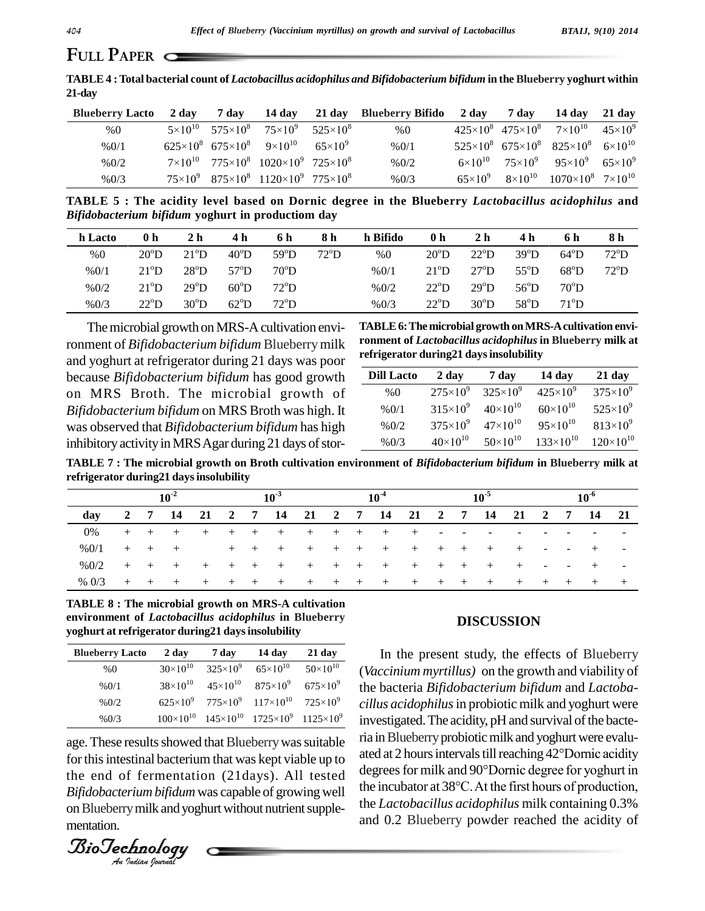**TABLE4 :Total bacterial count of** *Lactobacillus acidophilus and Bifidobacterium bifidum* **in theBlueberry yoghurt within 21-day**

| Blueberry Lacto 2 day |  |                                                                         | 7 day 14 day 21 day Blueberry Bifido 2 day 7 day 14 day 21 day |  |                                                                              |  |
|-----------------------|--|-------------------------------------------------------------------------|----------------------------------------------------------------|--|------------------------------------------------------------------------------|--|
| %0                    |  | $5 \times 10^{10}$ $575 \times 10^8$ $75 \times 10^9$ $525 \times 10^8$ | %0                                                             |  | $425\times10^{8}$ $475\times10^{8}$ $7\times10^{10}$ $45\times10^{9}$        |  |
| %0/1                  |  | $625\times10^{8}$ $675\times10^{8}$ $9\times10^{10}$ $65\times10^{9}$   | %0/1                                                           |  | $525\times10^{8}$ 675×10 <sup>8</sup> 825×10 <sup>8</sup> 6×10 <sup>10</sup> |  |
| %0/2                  |  | $7\times10^{10}$ $775\times10^{8}$ $1020\times10^{9}$ $725\times10^{8}$ | %0/2                                                           |  | $6 \times 10^{10}$ $75 \times 10^{9}$ $95 \times 10^{9}$ $65 \times 10^{9}$  |  |
| %0/3                  |  | $75\times10^{9}$ $875\times10^{8}$ $1120\times10^{9}$ $775\times10^{8}$ | % 0/3                                                          |  | $65\times10^{9}$ $8\times10^{10}$ $1070\times10^{8}$ $7\times10^{10}$        |  |

**TABLE 5 : The acidity level based on Dornic degree in the Blueberry** *Lactobacillus acidophilus* **and** *Bifidobacterium bifidum* **yoghurt in productiom day**

| h Lacto | 0 h           | 2 h           | 4 h           | 6 h           | 8 h           | h Bifido | 0 <sub>h</sub> | 2 <sub>h</sub> | 4 h           | 6 h           | 8 h           |
|---------|---------------|---------------|---------------|---------------|---------------|----------|----------------|----------------|---------------|---------------|---------------|
| %0      | $20^{\circ}D$ | $21^{\circ}D$ | $40^{\circ}D$ | $59^{\circ}D$ | $72^{\circ}D$ | %0       | $20^{\circ}D$  | $22^{\circ}D$  | $39^{\circ}D$ | $64^{\circ}D$ | $72^{\circ}D$ |
| %0/1    | $21^{\circ}D$ | $28^{\circ}D$ | $57^{\circ}D$ | $70^{\circ}D$ |               | %0/1     | $21^{\circ}D$  | $27^{\circ}D$  | $55^{\circ}D$ | $68^{\circ}D$ | $72^{\circ}D$ |
| %0/2    | $21^{\circ}D$ | $29^{\circ}D$ | $60^{\circ}D$ | $72^{\circ}D$ |               | %0/2     | $22^{\circ}D$  | $29^{\circ}D$  | $56^{\circ}D$ | $70^{\circ}D$ |               |
| %0/3    | $22^{\circ}D$ | $30^{\circ}D$ | $62^{\circ}D$ | $72^{\circ}D$ |               | %0/3     | $22^{\circ}D$  | $30^{\circ}D$  | $58^{\circ}D$ | $71^{\circ}D$ |               |

The microbial growth on MRS-A cultivation envi-<br>
Tonment of *Bifldobacterium bifidum* Blueberry milk<br>
Ind yoghurt at refrigerator during 21 days was poor<br>
Dra MRS-Broth. The microbial growth of<br>
Bifldobacterium bifidum na ronment of *Bifidobacterium bifidum* Blueberrymilk and yoghurt at refrigerator during 21 days was poor because *Bifidobacterium bifidum* has good growth on MRS Broth. The microbial growth of *Bifidobacterium bifidum* on MRS Broth was high. It was observed that*Bifidobacterium bifidum* has high inhibitory activity in MRS Agar during 21 days of stor-

**TABLE6:The microbial growth onMRS-Acultivation envi ronment of** *Lactobacillus acidophilus* **in Blueberry milk at refrigerator during21 daysinsolubility**

| <b>Dill Lacto</b> | 2 day               | 7 day               | 14 day              | 21 day              |
|-------------------|---------------------|---------------------|---------------------|---------------------|
| %0                | $275 \times 10^{9}$ | $325 \times 10^{9}$ | $425 \times 10^{9}$ | $375 \times 10^{9}$ |
| %0/1              | $315 \times 10^{9}$ | $40\times10^{10}$   | $60\times10^{10}$   | $525 \times 10^{9}$ |
| %0/2              | $375 \times 10^{9}$ | $47\times10^{10}$   | $95\times10^{10}$   | $813\times10^{9}$   |
| %0/3              | $40\times10^{10}$   | $50\times10^{10}$   | $133\times10^{10}$  | $120\times10^{10}$  |

TABLE 7: The microbial growth on Broth cultivation environment of Bifidobacterium bifidum in Blueberry milk at **refrigerator during21 daysinsolubility**

|         | $10^{-2}$ |  |                                                   |  |  | 10 <sup>3</sup> |                 | 10 <sup>5</sup><br>$10^{-4}$ |  |  |  |  |        | $10^{0}$                 |          |  |  |  |        |
|---------|-----------|--|---------------------------------------------------|--|--|-----------------|-----------------|------------------------------|--|--|--|--|--------|--------------------------|----------|--|--|--|--------|
| dav     |           |  | 2 7 14 21 2 7 14 21 2 7 14 21 2 7 14 21 2 7 14 21 |  |  |                 |                 |                              |  |  |  |  |        |                          |          |  |  |  |        |
| 0%      |           |  | + + + + + +                                       |  |  | $+$             | + + + + + -     |                              |  |  |  |  | $\sim$ | $\overline{\phantom{0}}$ |          |  |  |  | $\sim$ |
| %0/1    |           |  | $+$ $+$ $+$                                       |  |  | $+$ $+$ $+$     | + + + + + + + + |                              |  |  |  |  |        |                          | .        |  |  |  |        |
| %0/2    |           |  | + + + + + + + + + + + + + + +                     |  |  |                 |                 |                              |  |  |  |  |        |                          | $+$ $ -$ |  |  |  | $\sim$ |
| % $0/3$ |           |  | + + + + + + + + + + + + + + + + + + + +           |  |  |                 |                 |                              |  |  |  |  |        |                          |          |  |  |  |        |

**TABLE 8 : The microbial growth on MRS-A cultivation environment of** *Lactobacillus acidophilus* **in Blueberry yoghurt at refrigerator during21 daysinsolubility**

| <b>Blueberry Lacto</b> | 2 day             | 7 day 14 day |                                                                             | 21 day |
|------------------------|-------------------|--------------|-----------------------------------------------------------------------------|--------|
| %0                     | $30\times10^{10}$ |              | $325\times10^{9}$ $65\times10^{10}$ $50\times10^{10}$                       |        |
| %0/1                   |                   |              | $38\times10^{10}$ $45\times10^{10}$ $875\times10^{9}$ $675\times10^{9}$     |        |
| %0/2                   |                   |              | $625\times10^{9}$ $775\times10^{9}$ $117\times10^{10}$ $725\times10^{9}$    |        |
| %0/3                   |                   |              | $100\times10^{10}$ $145\times10^{10}$ $1725\times10^{9}$ $1125\times10^{9}$ |        |

for this intestinal bacterium that was kept viable up to decree age. These results showed that Blueberry was suitable *Bifidobacterium bifidum* was capable of growingwell on Blueberry milk and yoghurt without nutrient supplementation.

*Indian Journal*

#### **DISCUSSION**

10 (*Vaccinium myrtillus)* on the growth and viability of 9 the bacteria *Bifidobacterium bifidum* and*Lactoba-* 9 *cillus acidophilus*in probiotic milk and yoghurt were  $\frac{9}{2}$  investigated. The acidity, pH and survival of the bactethe end of fermentation (21days). All tested degrees for milk and 90°Dornic degree for yoghurt in In the present study, the effects of Blueberry ria in Blueberry probiotic milk and yoghurt were evaluinvestigated. The acidity, pH and survival of the bacte-<br>ria in Blueberry probiotic milk and yoghurt were evalu-<br>ated at 2 hours intervals till reaching 42°Dornic acidity ria in Blueberry probiotic milk and yoghurt were evaluated at 2 hours intervals till reaching 42°Dornic acidity<br>degrees for milk and 90°Dornic degree for yoghurt in the incubator at <sup>38</sup>°C.At the first hours of production, the *Lactobacillus acidophilus* milk containing 0.3% and 0.2 Blueberry powder reached the acidity of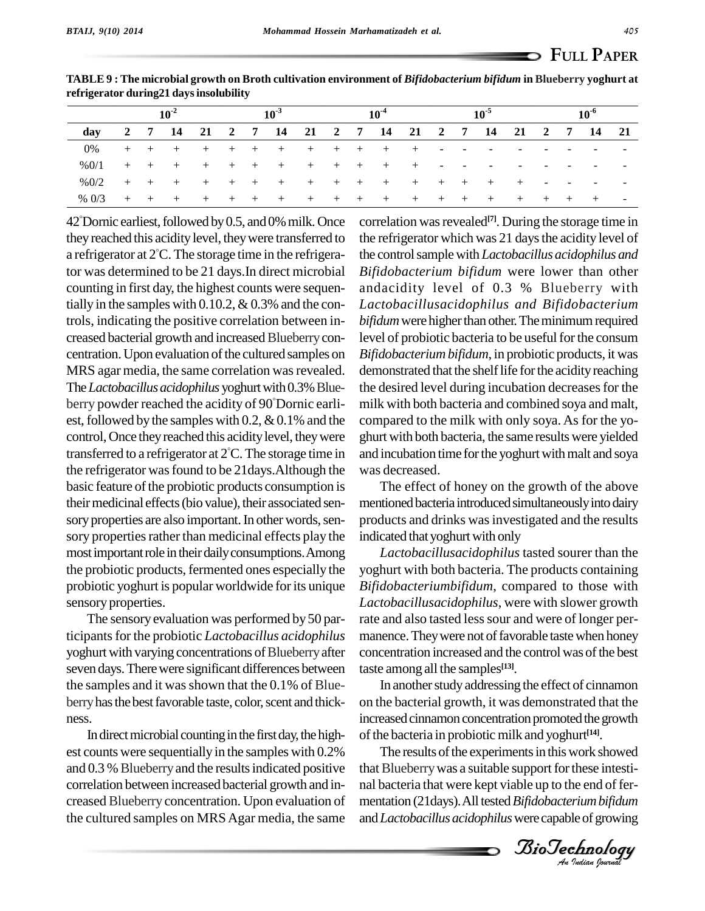|         | $10^{-2}$ |  |               | $10^{-3}$ |  |  |                                                   | $10^{-4}$ |  |  |                 | 10 <sup>5</sup> |            |                          |                          | $10^{-6}$ |                          |        |  |
|---------|-----------|--|---------------|-----------|--|--|---------------------------------------------------|-----------|--|--|-----------------|-----------------|------------|--------------------------|--------------------------|-----------|--------------------------|--------|--|
| day     |           |  |               |           |  |  | 2 7 14 21 2 7 14 21 2 7 14 21 2 7 14 21 2 7 14 21 |           |  |  |                 |                 |            |                          |                          |           |                          |        |  |
| 0%      |           |  |               |           |  |  | + + + + + + + + + + + + - -                       |           |  |  |                 |                 |            | $\sim$ $-$               | $\overline{\phantom{a}}$ |           |                          |        |  |
| %0/1    |           |  |               |           |  |  | + + + + + + + + + + + +                           |           |  |  |                 | <b>Service</b>  | $\sim$ $-$ | $\overline{\phantom{a}}$ | $\overline{\phantom{0}}$ |           |                          |        |  |
| %0/2    |           |  |               |           |  |  | + + + + + + + + + + + + + + +                     |           |  |  |                 |                 |            |                          | $+$                      | $\sim$    | $\overline{\phantom{0}}$ | $\sim$ |  |
| % $0/3$ |           |  | + + + + + + + |           |  |  |                                                   |           |  |  | + + + + + + + + |                 |            |                          | $+$ $+$ $+$ $+$          |           |                          |        |  |

TABLE 9: The microbial growth on Broth cultivation environment of Bifidobacterium bifidum in Blueberry yoghurt at **refrigerator during21 daysinsolubility**

42° Dornic earliest, followed by 0.5, and 0% milk. Once correl they reached this acidity level, they were transferred to the refr a refrigerator at 2 C. The storage time in the refrigerator was determined to be 21 days.In direct microbial counting in first day, the highest counts were sequentially in the samples with  $0.10.2$ ,  $& 0.3\%$  and the controls, indicating the positive correlation between in creased bacterial growth and increased Blueberry concentration. Upon evaluation of the cultured samples on MRS agar media, the same correlation was revealed. The *Lactobacillus acidophilus* yoghurt with 0.3% Blue- the berry powder reached the acidity of 90 Dornic earli est, followed by the samples with 0.2,  $&0.1\%$  and the control, Once they reached this acidity level, they were ghurt transferred to a refrigerator at  $2^{\circ}$ C. The storage time in and inc the refrigerator wasfound to be 21days.Although the basic feature of the probiotic products consumption is their medicinal effects (bio value), their associated sensory properties are also important. In other words, sensory properties rather than medicinal effects play the most important role in their daily consumptions. Among the probiotic products, fermented ones especially the probiotic yoghurt is popular worldwide forits unique sensory properties.

The sensory evaluation was performed by 50 participantsfor the probiotic *Lactobacillus acidophilus* yoghurt with varying concentrations of Blueberry after seven days.Therewere significant differences between the samples and it was shown that the  $0.1\%$  of Blueberry has the best favorable taste, color, scent and thickness.<br>In direct microbial counting in the first day, the high-

est counts were sequentially in the samples with 0.2% and 0.3 % Blueberry and the results indicated positive correlation between increased bacterial growth and in-creased Blueberry concentration. Upon evaluation of the cultured samples on MRSAgar media, the same

correlation was revealed<sup>[7]</sup>. During the storage time in the refrigerator which was 21 days the acidity level of the controlsample with *Lactobacillus acidophilus and Bifidobacterium bifidum* were lower than other andacidity level of 0.3 % Blueberry with *Lactobacillusacidophilus and Bifidobacterium bifidum* were higher than other. The minimum required level of probiotic bacteria to be useful for the consum *Bifidobacterium bifidum*, in probiotic products, it was demonstrated that the shelf life for the acidity reaching the desired level during incubation decreases for the milk with both bacteria and combined soya and malt, compared to the milk with only soya. As for the yo ghurt with both bacteria, the same results were yielded and incubation time for the yoghurt with malt and soya was decreased.

The effect of honey on the growth of the above mentioned bacteria introduced simultaneously into dairy products and drinks wasinvestigated and the results indicated that yoghurt with only

*Lactobacillusacidophilus* tasted sourer than the yoghurt with both bacteria. The products containing *Bifidobacteriumbifidum*, compared to those with *Lactobacillusacidophilus*, were with slower growth rate and also tasted less sour and were of longer permanence. They were not of favorable taste when honey concentration increased and the control was of the best taste among all the samples **[13]**.

increased cinnamon concentration promoted the growth In another study addressing the effect of cinnamon on the bacterial growth, it was demonstrated that the of the bacteria in probiotic milk and yoghurt<sup>[14]</sup>.

that Blueberry was a suitable support for these intesti-The results of the experiments in this work showed nal bacteria that were kept viable up to the end of fer mentation (21days).All tested*Bifidobacteriumbifidum* and*Lactobacillus acidophilus*were capable of growing

*Indian Journal*